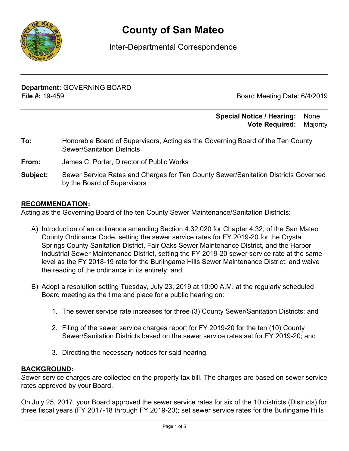

# **County of San Mateo**

# Inter-Departmental Correspondence

**Department:** GOVERNING BOARD **File #:** 19-459 Board Meeting Date: 6/4/2019

## **Special Notice / Hearing:** None\_\_ **Vote Required:** Majority

- **To:** Honorable Board of Supervisors, Acting as the Governing Board of the Ten County Sewer/Sanitation Districts
- **From:** James C. Porter, Director of Public Works
- **Subject:** Sewer Service Rates and Charges for Ten County Sewer/Sanitation Districts Governed by the Board of Supervisors

## **RECOMMENDATION:**

Acting as the Governing Board of the ten County Sewer Maintenance/Sanitation Districts:

- A) Introduction of an ordinance amending Section 4.32.020 for Chapter 4.32, of the San Mateo County Ordinance Code, setting the sewer service rates for FY 2019-20 for the Crystal Springs County Sanitation District, Fair Oaks Sewer Maintenance District, and the Harbor Industrial Sewer Maintenance District, setting the FY 2019-20 sewer service rate at the same level as the FY 2018-19 rate for the Burlingame Hills Sewer Maintenance District, and waive the reading of the ordinance in its entirety; and
- B) Adopt a resolution setting Tuesday, July 23, 2019 at 10:00 A.M. at the regularly scheduled Board meeting as the time and place for a public hearing on:
	- 1. The sewer service rate increases for three (3) County Sewer/Sanitation Districts; and
	- 2. Filing of the sewer service charges report for FY 2019-20 for the ten (10) County Sewer/Sanitation Districts based on the sewer service rates set for FY 2019-20; and
	- 3. Directing the necessary notices for said hearing.

## **BACKGROUND:**

Sewer service charges are collected on the property tax bill. The charges are based on sewer service rates approved by your Board.

On July 25, 2017, your Board approved the sewer service rates for six of the 10 districts (Districts) for three fiscal years (FY 2017-18 through FY 2019-20); set sewer service rates for the Burlingame Hills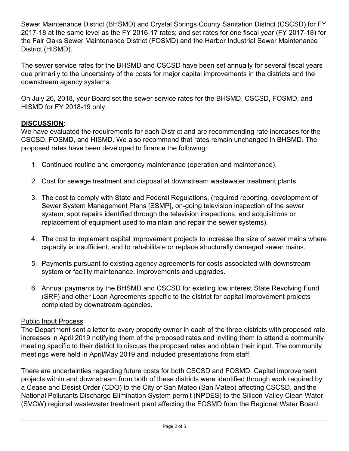Sewer Maintenance District (BHSMD) and Crystal Springs County Sanitation District (CSCSD) for FY 2017-18 at the same level as the FY 2016-17 rates; and set rates for one fiscal year (FY 2017-18) for the Fair Oaks Sewer Maintenance District (FOSMD) and the Harbor Industrial Sewer Maintenance District (HISMD).

The sewer service rates for the BHSMD and CSCSD have been set annually for several fiscal years due primarily to the uncertainty of the costs for major capital improvements in the districts and the downstream agency systems.

On July 26, 2018, your Board set the sewer service rates for the BHSMD, CSCSD, FOSMD, and HISMD for FY 2018-19 only.

# **DISCUSSION:**

We have evaluated the requirements for each District and are recommending rate increases for the CSCSD, FOSMD, and HISMD. We also recommend that rates remain unchanged in BHSMD. The proposed rates have been developed to finance the following:

- 1. Continued routine and emergency maintenance (operation and maintenance).
- 2. Cost for sewage treatment and disposal at downstream wastewater treatment plants.
- 3. The cost to comply with State and Federal Regulations, (required reporting, development of Sewer System Management Plans [SSMP], on-going television inspection of the sewer system, spot repairs identified through the television inspections, and acquisitions or replacement of equipment used to maintain and repair the sewer systems).
- 4. The cost to implement capital improvement projects to increase the size of sewer mains where capacity is insufficient, and to rehabilitate or replace structurally damaged sewer mains.
- 5. Payments pursuant to existing agency agreements for costs associated with downstream system or facility maintenance, improvements and upgrades.
- 6. Annual payments by the BHSMD and CSCSD for existing low interest State Revolving Fund (SRF) and other Loan Agreements specific to the district for capital improvement projects completed by downstream agencies.

# Public Input Process

The Department sent a letter to every property owner in each of the three districts with proposed rate increases in April 2019 notifying them of the proposed rates and inviting them to attend a community meeting specific to their district to discuss the proposed rates and obtain their input. The community meetings were held in April/May 2019 and included presentations from staff.

There are uncertainties regarding future costs for both CSCSD and FOSMD. Capital improvement projects within and downstream from both of these districts were identified through work required by a Cease and Desist Order (CDO) to the City of San Mateo (San Mateo) affecting CSCSD, and the National Pollutants Discharge Elimination System permit (NPDES) to the Silicon Valley Clean Water (SVCW) regional wastewater treatment plant affecting the FOSMD from the Regional Water Board.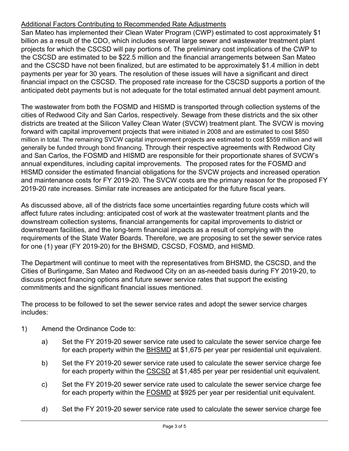# Additional Factors Contributing to Recommended Rate Adjustments

San Mateo has implemented their Clean Water Program (CWP) estimated to cost approximately \$1 billion as a result of the CDO, which includes several large sewer and wastewater treatment plant projects for which the CSCSD will pay portions of. The preliminary cost implications of the CWP to the CSCSD are estimated to be \$22.5 million and the financial arrangements between San Mateo and the CSCSD have not been finalized, but are estimated to be approximately \$1.4 million in debt payments per year for 30 years. The resolution of these issues will have a significant and direct financial impact on the CSCSD. The proposed rate increase for the CSCSD supports a portion of the anticipated debt payments but is not adequate for the total estimated annual debt payment amount.

The wastewater from both the FOSMD and HISMD is transported through collection systems of the cities of Redwood City and San Carlos, respectively. Sewage from these districts and the six other districts are treated at the Silicon Valley Clean Water (SVCW) treatment plant. The SVCW is moving forward with capital improvement projects that were initiated in 2008 and are estimated to cost \$850 million in total. The remaining SVCW capital improvement projects are estimated to cost \$559 million and will generally be funded through bond financing. Through their respective agreements with Redwood City and San Carlos, the FOSMD and HISMD are responsible for their proportionate shares of SVCW's annual expenditures, including capital improvements. The proposed rates for the FOSMD and HISMD consider the estimated financial obligations for the SVCW projects and increased operation and maintenance costs for FY 2019-20. The SVCW costs are the primary reason for the proposed FY 2019-20 rate increases. Similar rate increases are anticipated for the future fiscal years.

As discussed above, all of the districts face some uncertainties regarding future costs which will affect future rates including: anticipated cost of work at the wastewater treatment plants and the downstream collection systems, financial arrangements for capital improvements to district or downstream facilities, and the long-term financial impacts as a result of complying with the requirements of the State Water Boards. Therefore, we are proposing to set the sewer service rates for one (1) year (FY 2019-20) for the BHSMD, CSCSD, FOSMD, and HISMD.

The Department will continue to meet with the representatives from BHSMD, the CSCSD, and the Cities of Burlingame, San Mateo and Redwood City on an as-needed basis during FY 2019-20, to discuss project financing options and future sewer service rates that support the existing commitments and the significant financial issues mentioned.

The process to be followed to set the sewer service rates and adopt the sewer service charges includes:

- 1) Amend the Ordinance Code to:
	- a) Set the FY 2019-20 sewer service rate used to calculate the sewer service charge fee for each property within the BHSMD at \$1,675 per year per residential unit equivalent.
	- b) Set the FY 2019-20 sewer service rate used to calculate the sewer service charge fee for each property within the CSCSD at \$1,485 per year per residential unit equivalent.
	- c) Set the FY 2019-20 sewer service rate used to calculate the sewer service charge fee for each property within the FOSMD at \$925 per year per residential unit equivalent.
	- d) Set the FY 2019-20 sewer service rate used to calculate the sewer service charge fee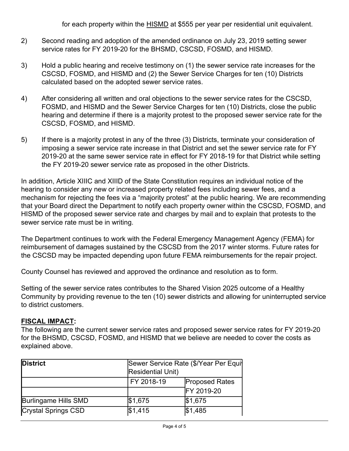for each property within the HISMD at \$555 per year per residential unit equivalent.

- 2) Second reading and adoption of the amended ordinance on July 23, 2019 setting sewer service rates for FY 2019-20 for the BHSMD, CSCSD, FOSMD, and HISMD.
- 3) Hold a public hearing and receive testimony on (1) the sewer service rate increases for the CSCSD, FOSMD, and HISMD and (2) the Sewer Service Charges for ten (10) Districts calculated based on the adopted sewer service rates.
- 4) After considering all written and oral objections to the sewer service rates for the CSCSD, FOSMD, and HISMD and the Sewer Service Charges for ten (10) Districts, close the public hearing and determine if there is a majority protest to the proposed sewer service rate for the CSCSD, FOSMD, and HISMD.
- 5) If there is a majority protest in any of the three (3) Districts, terminate your consideration of imposing a sewer service rate increase in that District and set the sewer service rate for FY 2019-20 at the same sewer service rate in effect for FY 2018-19 for that District while setting the FY 2019-20 sewer service rate as proposed in the other Districts.

In addition, Article XIIIC and XIIID of the State Constitution requires an individual notice of the hearing to consider any new or increased property related fees including sewer fees, and a mechanism for rejecting the fees via a "majority protest" at the public hearing. We are recommending that your Board direct the Department to notify each property owner within the CSCSD, FOSMD, and HISMD of the proposed sewer service rate and charges by mail and to explain that protests to the sewer service rate must be in writing.

The Department continues to work with the Federal Emergency Management Agency (FEMA) for reimbursement of damages sustained by the CSCSD from the 2017 winter storms. Future rates for the CSCSD may be impacted depending upon future FEMA reimbursements for the repair project.

County Counsel has reviewed and approved the ordinance and resolution as to form.

Setting of the sewer service rates contributes to the Shared Vision 2025 outcome of a Healthy Community by providing revenue to the ten (10) sewer districts and allowing for uninterrupted service to district customers.

## **FISCAL IMPACT:**

The following are the current sewer service rates and proposed sewer service rates for FY 2019-20 for the BHSMD, CSCSD, FOSMD, and HISMD that we believe are needed to cover the costs as explained above.

| District                   |            | Sewer Service Rate (\$/Year Per Equit<br><b>Residential Unit)</b> |  |  |
|----------------------------|------------|-------------------------------------------------------------------|--|--|
|                            | FY 2018-19 | <b>Proposed Rates</b>                                             |  |  |
|                            |            | FY 2019-20                                                        |  |  |
| Burlingame Hills SMD       | \$1,675    | \$1,675                                                           |  |  |
| <b>Crystal Springs CSD</b> | \$1,415    | \$1,485                                                           |  |  |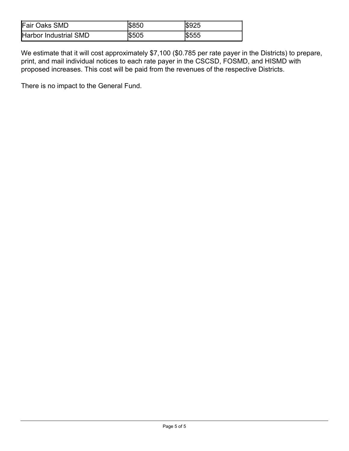| <b>Fair Oaks SMD</b>         | <b>IS850</b> | <b>IS925</b> |
|------------------------------|--------------|--------------|
| <b>Harbor Industrial SMD</b> | \$505        | <b>S555</b>  |

We estimate that it will cost approximately \$7,100 (\$0.785 per rate payer in the Districts) to prepare, print, and mail individual notices to each rate payer in the CSCSD, FOSMD, and HISMD with proposed increases. This cost will be paid from the revenues of the respective Districts.

There is no impact to the General Fund.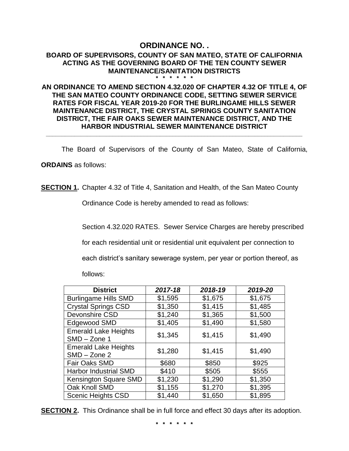#### **ORDINANCE NO. . BOARD OF SUPERVISORS, COUNTY OF SAN MATEO, STATE OF CALIFORNIA ACTING AS THE GOVERNING BOARD OF THE TEN COUNTY SEWER MAINTENANCE/SANITATION DISTRICTS \* \* \* \* \* \***

## **AN ORDINANCE TO AMEND SECTION 4.32.020 OF CHAPTER 4.32 OF TITLE 4, OF THE SAN MATEO COUNTY ORDINANCE CODE, SETTING SEWER SERVICE RATES FOR FISCAL YEAR 2019-20 FOR THE BURLINGAME HILLS SEWER MAINTENANCE DISTRICT, THE CRYSTAL SPRINGS COUNTY SANITATION DISTRICT, THE FAIR OAKS SEWER MAINTENANCE DISTRICT, AND THE HARBOR INDUSTRIAL SEWER MAINTENANCE DISTRICT**

**\_\_\_\_\_\_\_\_\_\_\_\_\_\_\_\_\_\_\_\_\_\_\_\_\_\_\_\_\_\_\_\_\_\_\_\_\_\_\_\_\_\_\_\_\_\_\_\_\_\_\_\_\_\_\_\_\_\_\_\_\_\_\_\_\_\_\_\_\_\_\_\_\_\_\_\_\_\_\_\_\_**

The Board of Supervisors of the County of San Mateo, State of California,

**ORDAINS** as follows:

**SECTION 1.** Chapter 4.32 of Title 4, Sanitation and Health, of the San Mateo County

Ordinance Code is hereby amended to read as follows:

Section 4.32.020 RATES. Sewer Service Charges are hereby prescribed

for each residential unit or residential unit equivalent per connection to

each district's sanitary sewerage system, per year or portion thereof, as

follows:

| <b>District</b>                               | 2017-18 | 2018-19 | 2019-20 |
|-----------------------------------------------|---------|---------|---------|
| <b>Burlingame Hills SMD</b>                   | \$1,595 | \$1,675 | \$1,675 |
| <b>Crystal Springs CSD</b>                    | \$1,350 | \$1,415 | \$1,485 |
| Devonshire CSD                                | \$1,240 | \$1,365 | \$1,500 |
| Edgewood SMD                                  | \$1,405 | \$1,490 | \$1,580 |
| <b>Emerald Lake Heights</b><br>$SMD - Zone 1$ | \$1,345 | \$1,415 | \$1,490 |
| <b>Emerald Lake Heights</b><br>$SMD - Zone$ 2 | \$1,280 | \$1,415 | \$1,490 |
| Fair Oaks SMD                                 | \$680   | \$850   | \$925   |
| <b>Harbor Industrial SMD</b>                  | \$410   | \$505   | \$555   |
| Kensington Square SMD                         | \$1,230 | \$1,290 | \$1,350 |
| Oak Knoll SMD                                 | \$1,155 | \$1,270 | \$1,395 |
| <b>Scenic Heights CSD</b>                     | \$1,440 | \$1,650 | \$1,895 |

**SECTION 2.** This Ordinance shall be in full force and effect 30 days after its adoption.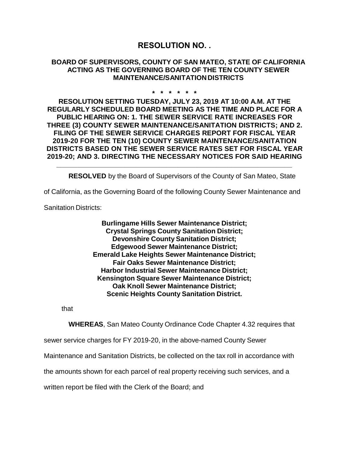# **RESOLUTION NO. .**

### **BOARD OF SUPERVISORS, COUNTY OF SAN MATEO, STATE OF CALIFORNIA ACTING AS THE GOVERNING BOARD OF THE TEN COUNTY SEWER MAINTENANCE/SANITATIONDISTRICTS**

#### **\* \* \* \* \* \***

**RESOLUTION SETTING TUESDAY, JULY 23, 2019 AT 10:00 A.M. AT THE REGULARLY SCHEDULED BOARD MEETING AS THE TIME AND PLACE FOR A PUBLIC HEARING ON: 1. THE SEWER SERVICE RATE INCREASES FOR THREE (3) COUNTY SEWER MAINTENANCE/SANITATION DISTRICTS; AND 2. FILING OF THE SEWER SERVICE CHARGES REPORT FOR FISCAL YEAR 2019-20 FOR THE TEN (10) COUNTY SEWER MAINTENANCE/SANITATION DISTRICTS BASED ON THE SEWER SERVICE RATES SET FOR FISCAL YEAR 2019-20; AND 3. DIRECTING THE NECESSARY NOTICES FOR SAID HEARING** 

**RESOLVED** by the Board of Supervisors of the County of San Mateo, State

of California, as the Governing Board of the following County Sewer Maintenance and

**\_\_\_\_\_\_\_\_\_\_\_\_\_\_\_\_\_\_\_\_\_\_\_\_\_\_\_\_\_\_\_\_\_\_\_\_\_\_\_\_\_\_\_\_\_\_\_\_\_\_\_\_\_\_\_\_\_\_\_\_\_\_**

Sanitation Districts:

**Burlingame Hills Sewer Maintenance District; Crystal Springs County Sanitation District; Devonshire County Sanitation District; Edgewood Sewer Maintenance District; Emerald Lake Heights Sewer Maintenance District; Fair Oaks Sewer Maintenance District; Harbor Industrial Sewer Maintenance District; Kensington Square Sewer Maintenance District; Oak Knoll Sewer Maintenance District; Scenic Heights County Sanitation District.**

that

**WHEREAS**, San Mateo County Ordinance Code Chapter 4.32 requires that

sewer service charges for FY 2019-20, in the above-named County Sewer

Maintenance and Sanitation Districts, be collected on the tax roll in accordance with

the amounts shown for each parcel of real property receiving such services, and a

written report be filed with the Clerk of the Board; and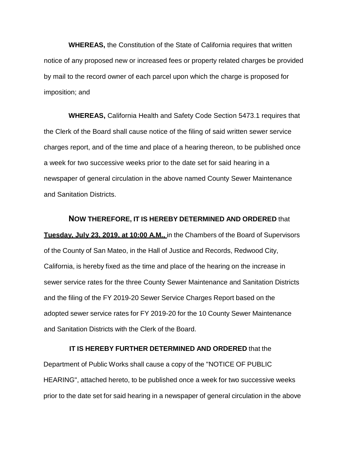**WHEREAS,** the Constitution of the State of California requires that written notice of any proposed new or increased fees or property related charges be provided by mail to the record owner of each parcel upon which the charge is proposed for imposition; and

**WHEREAS,** California Health and Safety Code Section 5473.1 requires that the Clerk of the Board shall cause notice of the filing of said written sewer service charges report, and of the time and place of a hearing thereon, to be published once a week for two successive weeks prior to the date set for said hearing in a newspaper of general circulation in the above named County Sewer Maintenance and Sanitation Districts.

**NOW THEREFORE, IT IS HEREBY DETERMINED AND ORDERED** that **Tuesday, July 23, 2019, at 10:00 A.M.,** in the Chambers of the Board of Supervisors of the County of San Mateo, in the Hall of Justice and Records, Redwood City, California, is hereby fixed as the time and place of the hearing on the increase in sewer service rates for the three County Sewer Maintenance and Sanitation Districts and the filing of the FY 2019-20 Sewer Service Charges Report based on the adopted sewer service rates for FY 2019-20 for the 10 County Sewer Maintenance and Sanitation Districts with the Clerk of the Board.

#### **IT IS HEREBY FURTHER DETERMINED AND ORDERED** that the

Department of Public Works shall cause a copy of the "NOTICE OF PUBLIC HEARING", attached hereto, to be published once a week for two successive weeks prior to the date set for said hearing in a newspaper of general circulation in the above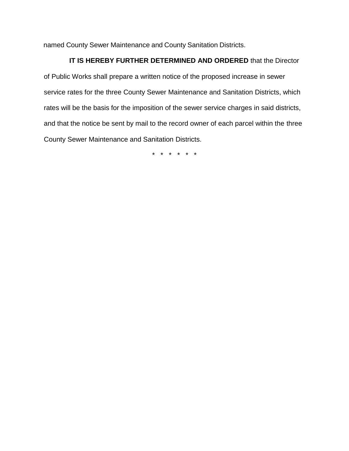named County Sewer Maintenance and County Sanitation Districts.

## **IT IS HEREBY FURTHER DETERMINED AND ORDERED** that the Director

of Public Works shall prepare a written notice of the proposed increase in sewer service rates for the three County Sewer Maintenance and Sanitation Districts, which rates will be the basis for the imposition of the sewer service charges in said districts, and that the notice be sent by mail to the record owner of each parcel within the three County Sewer Maintenance and Sanitation Districts.

\* \* \* \* \* \*